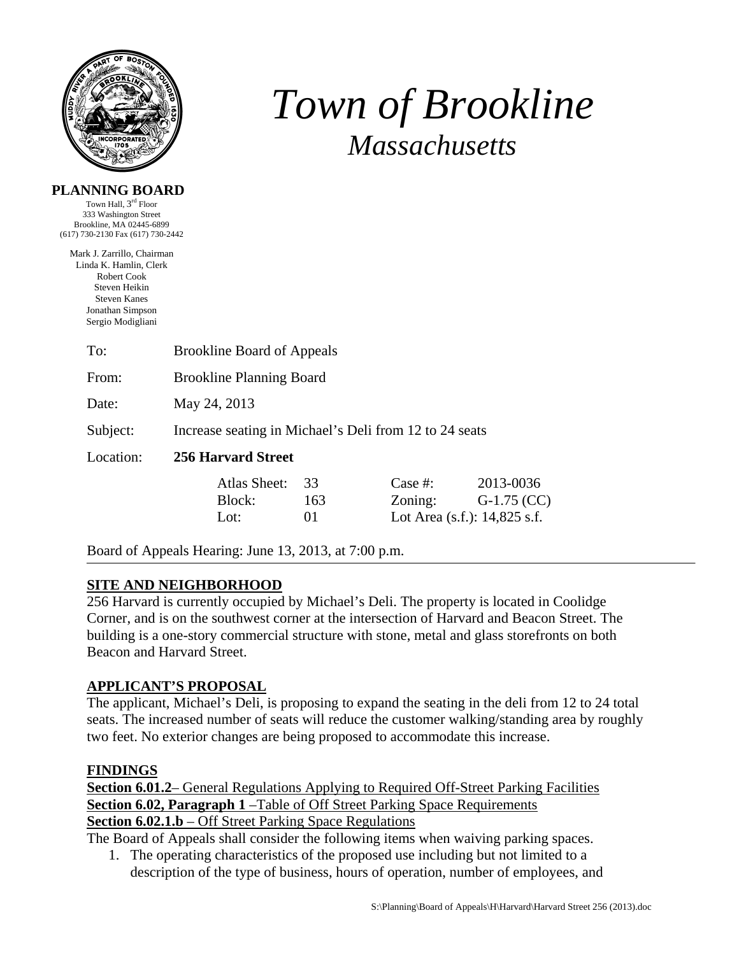

# *Town of Brookline Massachusetts*

#### **PLANNING BOARD**

Town Hall, 3rd Floor 333 Washington Street Brookline, MA 02445-6899 (617) 730-2130 Fax (617) 730-2442

Mark J. Zarrillo, Chairman Linda K. Hamlin, Clerk Robert Cook Steven Heikin Steven Kanes Jonathan Simpson Sergio Modigliani

| To:       | <b>Brookline Board of Appeals</b>                      |         |                              |               |  |  |
|-----------|--------------------------------------------------------|---------|------------------------------|---------------|--|--|
| From:     | <b>Brookline Planning Board</b>                        |         |                              |               |  |  |
| Date:     | May 24, 2013                                           |         |                              |               |  |  |
| Subject:  | Increase seating in Michael's Deli from 12 to 24 seats |         |                              |               |  |  |
| Location: | 256 Harvard Street                                     |         |                              |               |  |  |
|           | Atlas Sheet:                                           | 33      | Case #:                      | 2013-0036     |  |  |
|           | Block:                                                 | 163     | Zoning:                      | $G-1.75$ (CC) |  |  |
|           | Lot:                                                   | $_{01}$ | Lot Area (s.f.): 14,825 s.f. |               |  |  |

Board of Appeals Hearing: June 13, 2013, at 7:00 p.m.

## **SITE AND NEIGHBORHOOD**

256 Harvard is currently occupied by Michael's Deli. The property is located in Coolidge Corner, and is on the southwest corner at the intersection of Harvard and Beacon Street. The building is a one-story commercial structure with stone, metal and glass storefronts on both Beacon and Harvard Street.

## **APPLICANT'S PROPOSAL**

The applicant, Michael's Deli, is proposing to expand the seating in the deli from 12 to 24 total seats. The increased number of seats will reduce the customer walking/standing area by roughly two feet. No exterior changes are being proposed to accommodate this increase.

## **FINDINGS**

**Section 6.01.2**– General Regulations Applying to Required Off-Street Parking Facilities **Section 6.02, Paragraph 1** –Table of Off Street Parking Space Requirements **Section 6.02.1.b** – Off Street Parking Space Regulations

The Board of Appeals shall consider the following items when waiving parking spaces.

1. The operating characteristics of the proposed use including but not limited to a description of the type of business, hours of operation, number of employees, and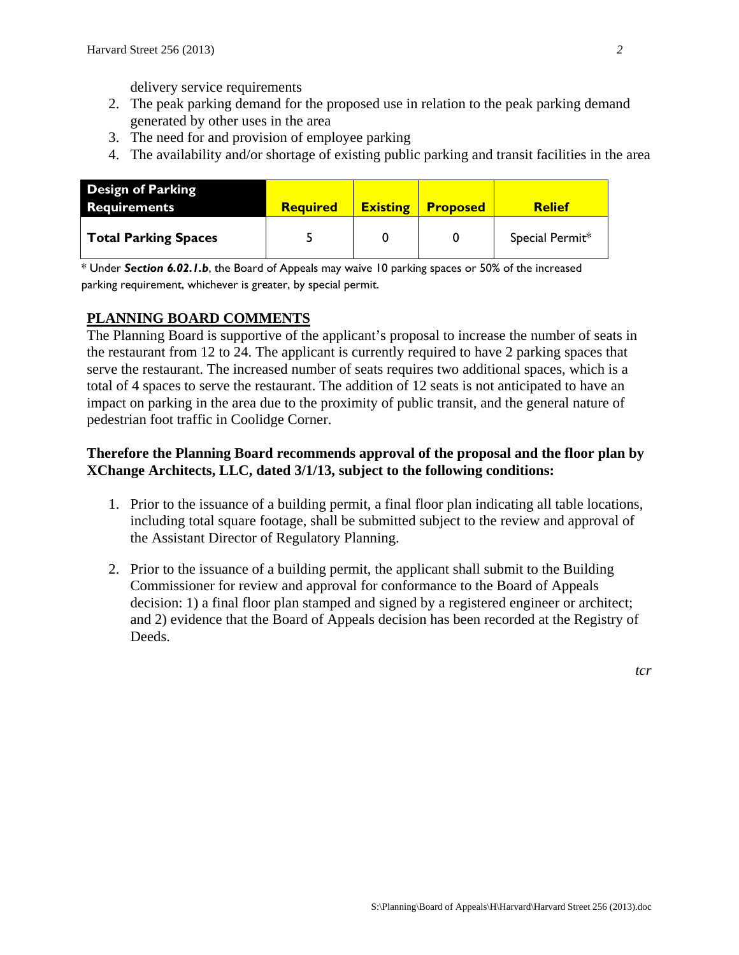delivery service requirements

- 2. The peak parking demand for the proposed use in relation to the peak parking demand generated by other uses in the area
- 3. The need for and provision of employee parking
- 4. The availability and/or shortage of existing public parking and transit facilities in the area

| <b>Design of Parking</b><br><b>Requirements</b> | <b>Required</b> | <b>Existing</b> | <b>Proposed</b> | <b>Relief</b>   |
|-------------------------------------------------|-----------------|-----------------|-----------------|-----------------|
| Total Parking Spaces                            |                 |                 |                 | Special Permit* |

\* Under *Section 6.02.1.b*, the Board of Appeals may waive 10 parking spaces or 50% of the increased parking requirement, whichever is greater, by special permit.

## **PLANNING BOARD COMMENTS**

The Planning Board is supportive of the applicant's proposal to increase the number of seats in the restaurant from 12 to 24. The applicant is currently required to have 2 parking spaces that serve the restaurant. The increased number of seats requires two additional spaces, which is a total of 4 spaces to serve the restaurant. The addition of 12 seats is not anticipated to have an impact on parking in the area due to the proximity of public transit, and the general nature of pedestrian foot traffic in Coolidge Corner.

## **Therefore the Planning Board recommends approval of the proposal and the floor plan by XChange Architects, LLC, dated 3/1/13, subject to the following conditions:**

- 1. Prior to the issuance of a building permit, a final floor plan indicating all table locations, including total square footage, shall be submitted subject to the review and approval of the Assistant Director of Regulatory Planning.
- 2. Prior to the issuance of a building permit, the applicant shall submit to the Building Commissioner for review and approval for conformance to the Board of Appeals decision: 1) a final floor plan stamped and signed by a registered engineer or architect; and 2) evidence that the Board of Appeals decision has been recorded at the Registry of Deeds.